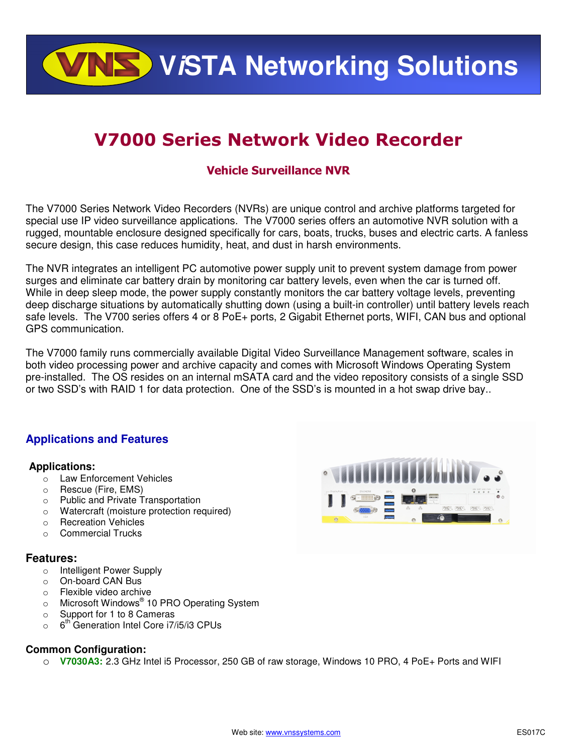**ViSTA Networking Solutions**

# V7000 Series Network Video Recorder

## Vehicle Surveillance NVR

The V7000 Series Network Video Recorders (NVRs) are unique control and archive platforms targeted for special use IP video surveillance applications. The V7000 series offers an automotive NVR solution with a rugged, mountable enclosure designed specifically for cars, boats, trucks, buses and electric carts. A fanless secure design, this case reduces humidity, heat, and dust in harsh environments.

The NVR integrates an intelligent PC automotive power supply unit to prevent system damage from power surges and eliminate car battery drain by monitoring car battery levels, even when the car is turned off. While in deep sleep mode, the power supply constantly monitors the car battery voltage levels, preventing deep discharge situations by automatically shutting down (using a built-in controller) until battery levels reach safe levels. The V700 series offers 4 or 8 PoE+ ports, 2 Gigabit Ethernet ports, WIFI, CAN bus and optional GPS communication.

The V7000 family runs commercially available Digital Video Surveillance Management software, scales in both video processing power and archive capacity and comes with Microsoft Windows Operating System pre-installed. The OS resides on an internal mSATA card and the video repository consists of a single SSD or two SSD's with RAID 1 for data protection. One of the SSD's is mounted in a hot swap drive bay..

### **Applications and Features**

#### **Applications:**

- o Law Enforcement Vehicles
- o Rescue (Fire, EMS)
- o Public and Private Transportation
- o Watercraft (moisture protection required)
- o Recreation Vehicles
- o Commercial Trucks

#### **Features:**

- o Intelligent Power Supply
- o On-board CAN Bus
- o Flexible video archive
- o Microsoft Windows<sup>®</sup> 10 PRO Operating System
- o Support for 1 to 8 Cameras
- $\circ$  6<sup>th</sup> Generation Intel Core i7/i5/i3 CPUs

#### **Common Configuration:**

o **V7030A3:** 2.3 GHz Intel i5 Processor, 250 GB of raw storage, Windows 10 PRO, 4 PoE+ Ports and WIFI

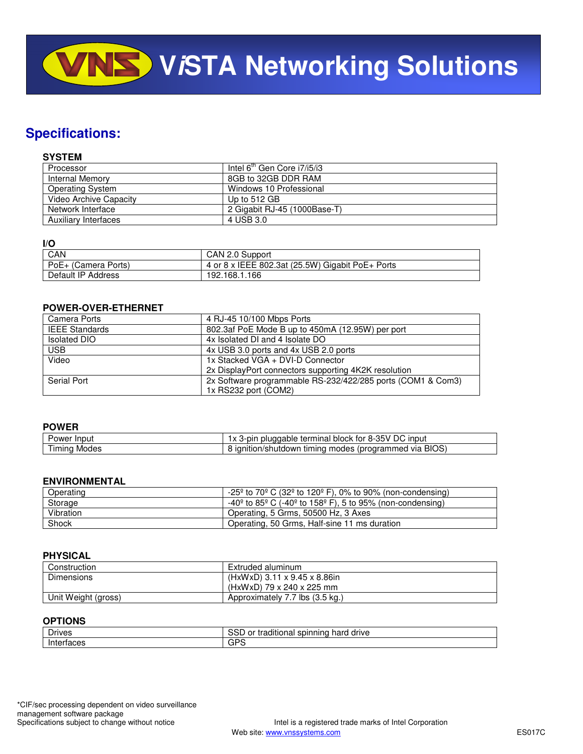**VISTA Networking Solutions** 

# **Specifications:**

#### **SYSTEM**

| Processor               | Intel $6^{th}$ Gen Core $17/15/13$ |
|-------------------------|------------------------------------|
| <b>Internal Memory</b>  | 8GB to 32GB DDR RAM                |
| <b>Operating System</b> | Windows 10 Professional            |
| Video Archive Capacity  | Up to 512 GB                       |
| Network Interface       | 2 Gigabit RJ-45 (1000Base-T)       |
| Auxiliary Interfaces    | 4 USB 3.0                          |

#### **I/O**

| .                   |                                                  |
|---------------------|--------------------------------------------------|
| CAN                 | CAN 2.0 Support                                  |
| PoE+ (Camera Ports) | 4 or 8 x IEEE 802.3at (25.5W) Gigabit PoE+ Ports |
| Default IP Address  | 192.168.1.166                                    |

#### **POWER-OVER-ETHERNET**

| Camera Ports          | 4 RJ-45 10/100 Mbps Ports                                   |
|-----------------------|-------------------------------------------------------------|
| <b>IEEE Standards</b> | 802.3af PoE Mode B up to 450mA (12.95W) per port            |
| <b>Isolated DIO</b>   | 4x Isolated DI and 4 Isolate DO                             |
| <b>USB</b>            | 4x USB 3.0 ports and 4x USB 2.0 ports                       |
| Video                 | 1x Stacked VGA + DVI-D Connector                            |
|                       | 2x DisplayPort connectors supporting 4K2K resolution        |
| Serial Port           | 2x Software programmable RS-232/422/285 ports (COM1 & Com3) |
|                       | 1x RS232 port (COM2)                                        |

#### **POWER**

| Input<br>ower  | $\sim$ $\sim$ $\sim$<br>$8-35V$<br>` input<br>3-nir<br>tor<br>nınal<br>pluggable<br>block<br>$\overline{\phantom{a}}$<br>teri<br>$\Lambda$ |
|----------------|--------------------------------------------------------------------------------------------------------------------------------------------|
| imina<br>Modes | <b>BIOS</b><br>roaramı<br>---<br>$ -$<br>Via<br>/shutdown<br>neo<br>τır<br>moaes<br>nino<br>ition)                                         |

#### **ENVIRONMENTAL**

| Operating | $-25^{\circ}$ to 70° C (32° to 120° F), 0% to 90% (non-condensing)                                   |
|-----------|------------------------------------------------------------------------------------------------------|
| Storage   | $-40^{\circ}$ to 85 <sup>°</sup> C ( $-40^{\circ}$ to 158 <sup>°</sup> F), 5 to 95% (non-condensing) |
| Vibration | Operating, 5 Grms, 50500 Hz, 3 Axes                                                                  |
| Shock     | Operating, 50 Grms, Half-sine 11 ms duration                                                         |

#### **PHYSICAL**

| Construction        | Extruded aluminum               |
|---------------------|---------------------------------|
| Dimensions          | (HxWxD) 3.11 x 9.45 x 8.86in    |
|                     | (HxWxD) 79 x 240 x 225 mm       |
| Unit Weight (gross) | Approximately 7.7 lbs (3.5 kg.) |

#### **OPTIONS**

| _<br><b>Contract Drives</b> | 、cr<br>spinning<br>hard<br>ditional<br>drive<br>or<br>---<br>. н.<br><b>JOL</b> |
|-----------------------------|---------------------------------------------------------------------------------|
| .<br><br>ш<br>⊶naces        | n o<br>◡                                                                        |